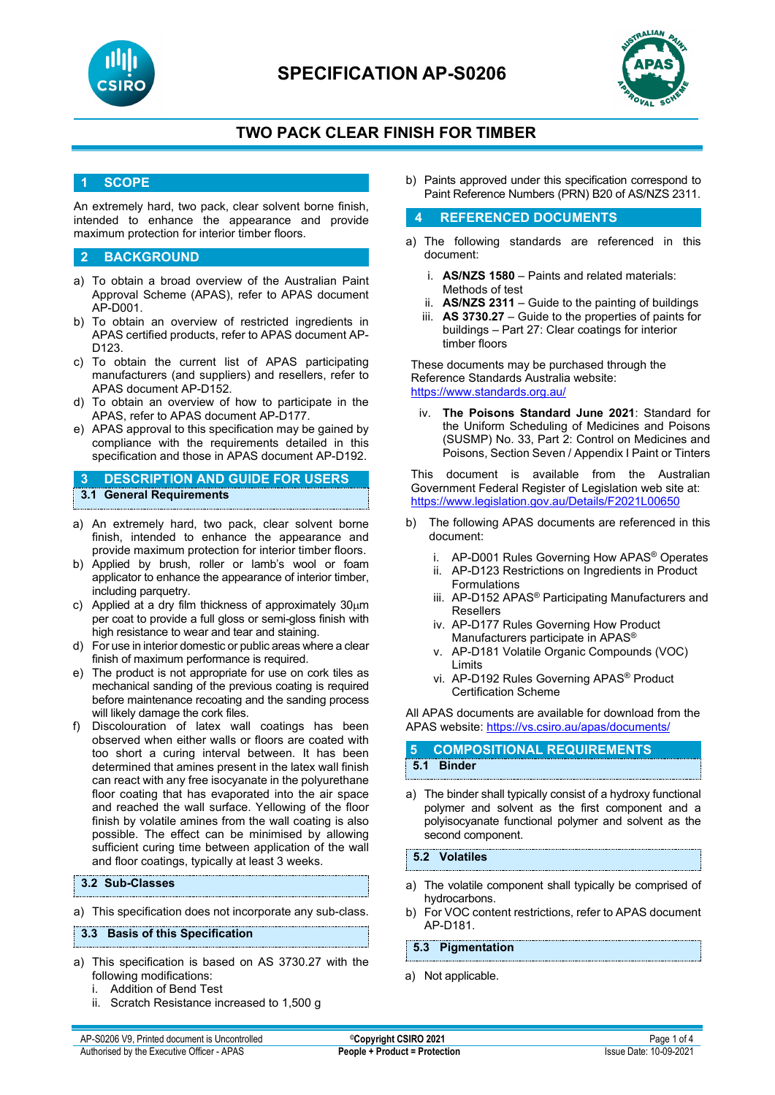



# **TWO PACK CLEAR FINISH FOR TIMBER**

## **1 SCOPE**

An extremely hard, two pack, clear solvent borne finish, intended to enhance the appearance and provide maximum protection for interior timber floors.

## **2 BACKGROUND**

- a) To obtain a broad overview of the Australian Paint Approval Scheme (APAS), refer to APAS document AP-D001.
- b) To obtain an overview of restricted ingredients in APAS certified products, refer to APAS document AP-D123.
- c) To obtain the current list of APAS participating manufacturers (and suppliers) and resellers, refer to APAS document AP-D152.
- d) To obtain an overview of how to participate in the APAS, refer to APAS document AP-D177.
- e) APAS approval to this specification may be gained by compliance with the requirements detailed in this specification and those in APAS document AP-D192.

**3 DESCRIPTION AND GUIDE FOR USERS 3.1 General Requirements**

- a) An extremely hard, two pack, clear solvent borne finish, intended to enhance the appearance and provide maximum protection for interior timber floors.
- b) Applied by brush, roller or lamb's wool or foam applicator to enhance the appearance of interior timber, including parquetry.
- c) Applied at a dry film thickness of approximately  $30 \mu m$ per coat to provide a full gloss or semi-gloss finish with high resistance to wear and tear and staining.
- d) For use in interior domestic or public areas where a clear finish of maximum performance is required.
- e) The product is not appropriate for use on cork tiles as mechanical sanding of the previous coating is required before maintenance recoating and the sanding process will likely damage the cork files.
- Discolouration of latex wall coatings has been observed when either walls or floors are coated with too short a curing interval between. It has been determined that amines present in the latex wall finish can react with any free isocyanate in the polyurethane floor coating that has evaporated into the air space and reached the wall surface. Yellowing of the floor finish by volatile amines from the wall coating is also possible. The effect can be minimised by allowing sufficient curing time between application of the wall and floor coatings, typically at least 3 weeks.

## **3.2 Sub-Classes**

a) This specification does not incorporate any sub-class.

#### **3.3 Basis of this Specification**

- a) This specification is based on AS 3730.27 with the following modifications:
	- i. Addition of Bend Test
	- ii. Scratch Resistance increased to 1,500 g

b) Paints approved under this specification correspond to Paint Reference Numbers (PRN) B20 of AS/NZS 2311.

### **4 REFERENCED DOCUMENTS**

- a) The following standards are referenced in this document:
	- i. **AS/NZS 1580** Paints and related materials: Methods of test
	- ii. **AS/NZS 2311**  Guide to the painting of buildings
	- iii. **AS 3730.27**  Guide to the properties of paints for buildings – Part 27: Clear coatings for interior timber floors

These documents may be purchased through the Reference Standards Australia website: <https://www.standards.org.au/>

iv. **The Poisons Standard June 2021**: Standard for the Uniform Scheduling of Medicines and Poisons (SUSMP) No. 33, Part 2: Control on Medicines and Poisons, Section Seven / Appendix I Paint or Tinters

This document is available from the Australian Government Federal Register of Legislation web site at: <https://www.legislation.gov.au/Details/F2021L00650>

- b) The following APAS documents are referenced in this document:
	- i. AP-D001 Rules Governing How APAS® Operates
	- ii. AP-D123 Restrictions on Ingredients in Product Formulations
	- iii. AP-D152 APAS<sup>®</sup> Participating Manufacturers and Resellers
	- iv. AP-D177 Rules Governing How Product Manufacturers participate in APAS®
	- v. AP-D181 Volatile Organic Compounds (VOC) Limits
	- vi. AP-D192 Rules Governing APAS® Product Certification Scheme

All APAS documents are available for download from the APAS website: <https://vs.csiro.au/apas/documents/>

## **5 COMPOSITIONAL REQUIREMENTS 5.1 Binder**

a) The binder shall typically consist of a hydroxy functional polymer and solvent as the first component and a polyisocyanate functional polymer and solvent as the second component.

## **5.2 Volatiles**

- a) The volatile component shall typically be comprised of hydrocarbons.
- b) For VOC content restrictions, refer to APAS document AP-D181.

**5.3 Pigmentation**

a) Not applicable.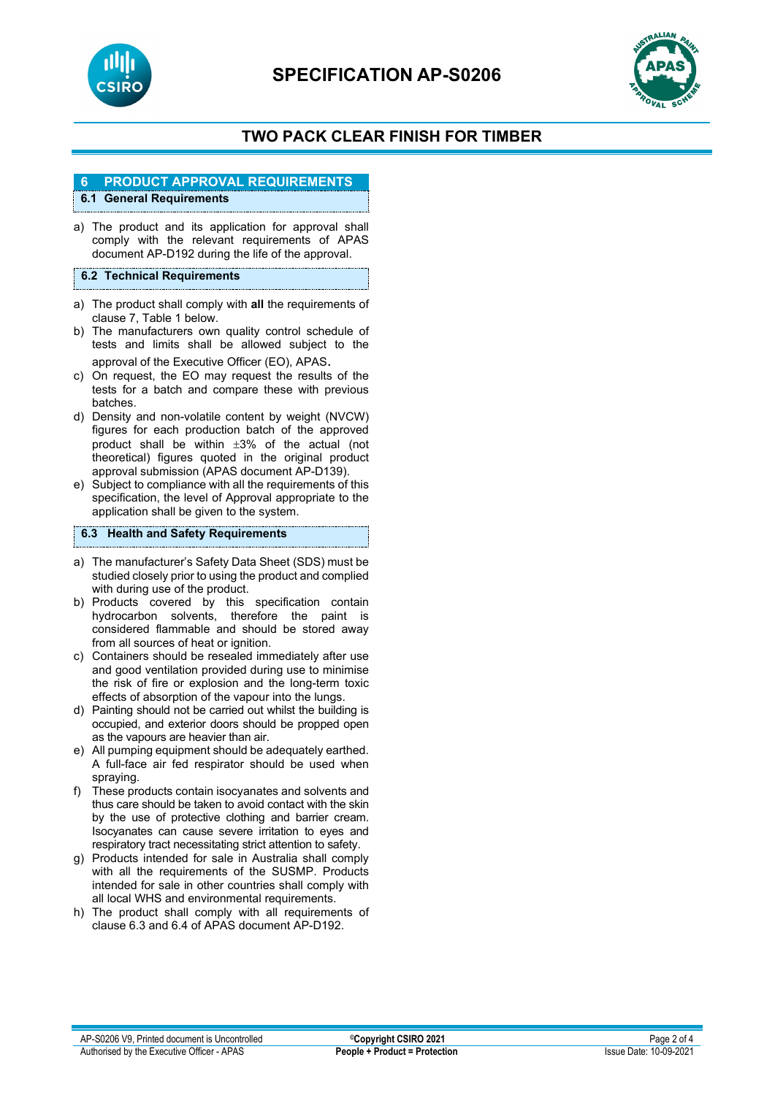



# **TWO PACK CLEAR FINISH FOR TIMBER**

# **6 PRODUCT APPROVAL REQUIREMENTS**

## **6.1 General Requirements**

a) The product and its application for approval shall comply with the relevant requirements of APAS document AP-D192 during the life of the approval.

## **6.2 Technical Requirements**

- a) The product shall comply with **all** the requirements of clause 7, Table 1 below.
- b) The manufacturers own quality control schedule of tests and limits shall be allowed subject to the approval of the Executive Officer (EO), APAS.
- c) On request, the EO may request the results of the tests for a batch and compare these with previous batches.
- d) Density and non-volatile content by weight (NVCW) figures for each production batch of the approved product shall be within ±3% of the actual (not theoretical) figures quoted in the original product approval submission (APAS document AP-D139).
- e) Subject to compliance with all the requirements of this specification, the level of Approval appropriate to the application shall be given to the system.

## **6.3 Health and Safety Requirements**

- a) The manufacturer's Safety Data Sheet (SDS) must be studied closely prior to using the product and complied with during use of the product.
- b) Products covered by this specification contain hydrocarbon solvents, therefore the paint is considered flammable and should be stored away from all sources of heat or ignition.
- c) Containers should be resealed immediately after use and good ventilation provided during use to minimise the risk of fire or explosion and the long-term toxic effects of absorption of the vapour into the lungs.
- d) Painting should not be carried out whilst the building is occupied, and exterior doors should be propped open as the vapours are heavier than air.
- e) All pumping equipment should be adequately earthed. A full-face air fed respirator should be used when spraying.
- f) These products contain isocyanates and solvents and thus care should be taken to avoid contact with the skin by the use of protective clothing and barrier cream. Isocyanates can cause severe irritation to eyes and respiratory tract necessitating strict attention to safety.
- g) Products intended for sale in Australia shall comply with all the requirements of the SUSMP. Products intended for sale in other countries shall comply with all local WHS and environmental requirements.
- h) The product shall comply with all requirements of clause 6.3 and 6.4 of APAS document AP-D192.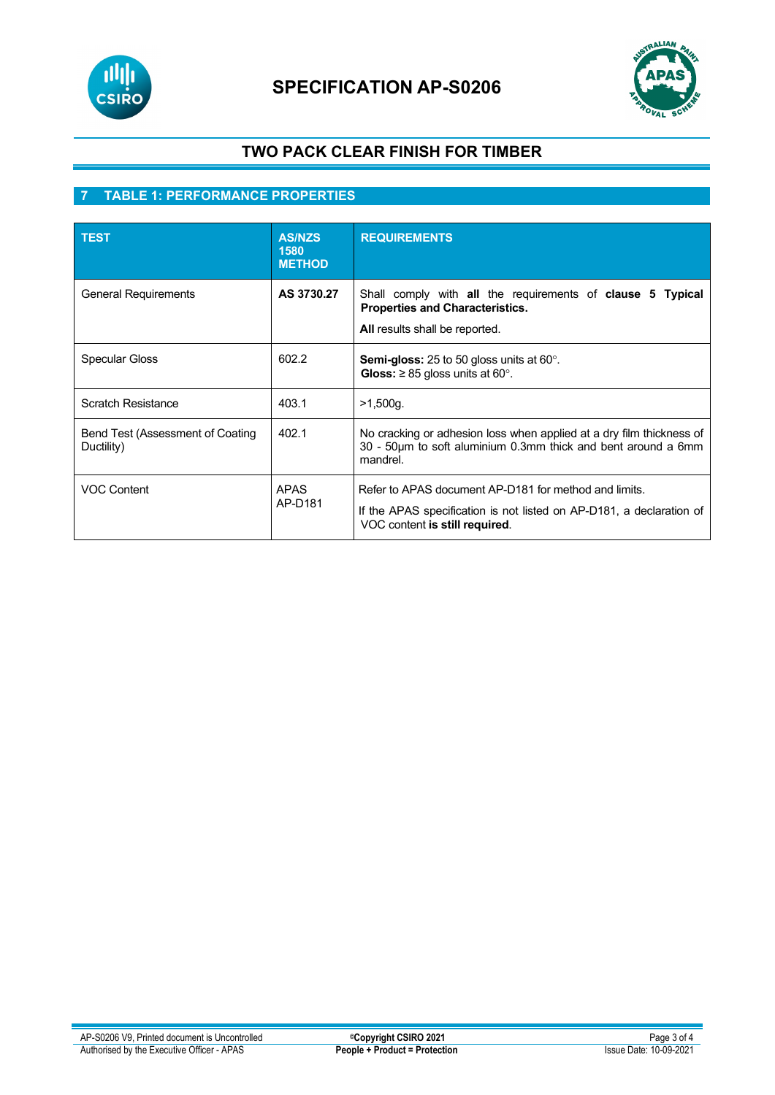

# **SPECIFICATION AP-S0206**



# **TWO PACK CLEAR FINISH FOR TIMBER**

# **7 TABLE 1: PERFORMANCE PROPERTIES**

| <b>TEST</b>                                    | <b>AS/NZS</b><br>1580<br><b>METHOD</b> | <b>REQUIREMENTS</b>                                                                                                                                             |
|------------------------------------------------|----------------------------------------|-----------------------------------------------------------------------------------------------------------------------------------------------------------------|
| <b>General Requirements</b>                    | AS 3730.27                             | Shall comply with all the requirements of <b>clause 5 Typical</b><br><b>Properties and Characteristics.</b><br>All results shall be reported.                   |
| <b>Specular Gloss</b>                          | 602.2                                  | <b>Semi-gloss:</b> 25 to 50 gloss units at 60 $^{\circ}$ .<br>Gloss: $\geq$ 85 gloss units at 60°.                                                              |
| Scratch Resistance                             | 403.1                                  | >1,500q.                                                                                                                                                        |
| Bend Test (Assessment of Coating<br>Ductility) | 402.1                                  | No cracking or adhesion loss when applied at a dry film thickness of<br>30 - 50µm to soft aluminium 0.3mm thick and bent around a 6mm<br>mandrel.               |
| <b>VOC Content</b>                             | <b>APAS</b><br>AP-D181                 | Refer to APAS document AP-D181 for method and limits.<br>If the APAS specification is not listed on AP-D181, a declaration of<br>VOC content is still required. |